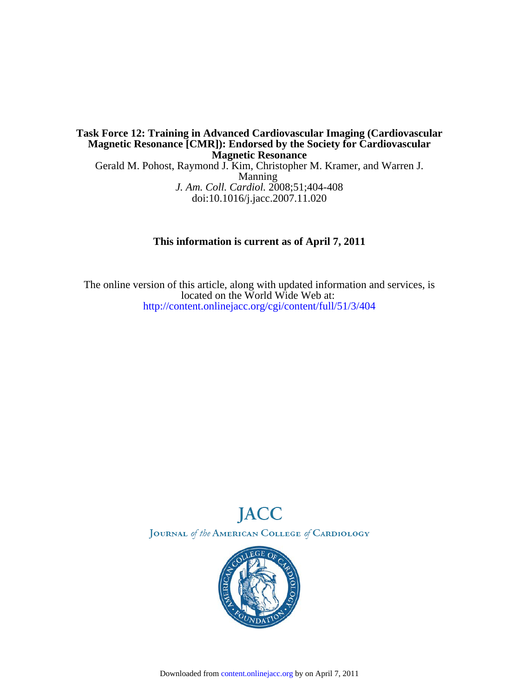## Manning Gerald M. Pohost, Raymond J. Kim, Christopher M. Kramer, and Warren J. **Magnetic Resonance Magnetic Resonance [CMR]): Endorsed by the Society for Cardiovascular Task Force 12: Training in Advanced Cardiovascular Imaging (Cardiovascular**

doi:10.1016/j.jacc.2007.11.020 *J. Am. Coll. Cardiol.* 2008;51;404-408

## **This information is current as of April 7, 2011**

<http://content.onlinejacc.org/cgi/content/full/51/3/404> located on the World Wide Web at: The online version of this article, along with updated information and services, is



JOURNAL of the AMERICAN COLLEGE of CARDIOLOGY

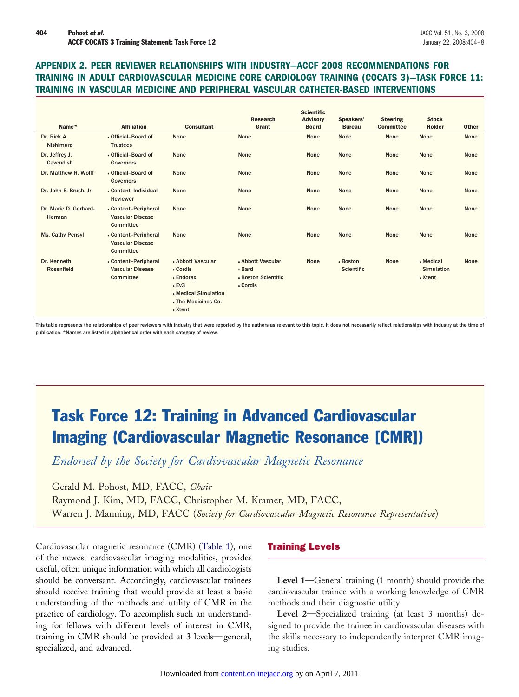## **APPENDIX 2. PEER REVIEWER RELATIONSHIPS WITH INDUSTRY—ACCF 2008 RECOMMENDATIONS FOR TRAINING IN ADULT CARDIOVASCULAR MEDICINE CORE CARDIOLOGY TRAINING (COCATS 3)—TASK FORCE 11: TRAINING IN VASCULAR MEDICINE AND PERIPHERAL VASCULAR CATHETER-BASED INTERVENTIONS**

| Name*                           | <b>Affiliation</b>                                           | <b>Consultant</b>                                                                                                   | <b>Research</b><br>Grant                                       | <b>Scientific</b><br><b>Advisory</b><br><b>Board</b> | Speakers'<br><b>Bureau</b>    | <b>Steering</b><br><b>Committee</b> | <b>Stock</b><br><b>Holder</b>             | <b>Other</b> |
|---------------------------------|--------------------------------------------------------------|---------------------------------------------------------------------------------------------------------------------|----------------------------------------------------------------|------------------------------------------------------|-------------------------------|-------------------------------------|-------------------------------------------|--------------|
| Dr. Rick A.<br>Nishimura        | • Official-Board of<br><b>Trustees</b>                       | None                                                                                                                | None                                                           | None                                                 | None                          | None                                | None                                      | None         |
| Dr. Jeffrey J.<br>Cavendish     | • Official-Board of<br><b>Governors</b>                      | None                                                                                                                | None                                                           | None                                                 | None                          | None                                | None                                      | None         |
| Dr. Matthew R. Wolff            | • Official-Board of<br><b>Governors</b>                      | None                                                                                                                | None                                                           | None                                                 | None                          | None                                | None                                      | None         |
| Dr. John E. Brush, Jr.          | • Content-Individual<br>Reviewer                             | None                                                                                                                | None                                                           | None                                                 | None                          | None                                | None                                      | None         |
| Dr. Marie D. Gerhard-<br>Herman | • Content-Peripheral<br><b>Vascular Disease</b><br>Committee | None                                                                                                                | None                                                           | None                                                 | None                          | None                                | None                                      | None         |
| Ms. Cathy Pensyl                | • Content-Peripheral<br><b>Vascular Disease</b><br>Committee | None                                                                                                                | None                                                           | None                                                 | None                          | None                                | None                                      | None         |
| Dr. Kenneth<br>Rosenfield       | • Content-Peripheral<br><b>Vascular Disease</b><br>Committee | • Abbott Vascular<br>• Cordis<br>• Endotex<br>$\cdot$ Ev3<br>• Medical Simulation<br>• The Medicines Co.<br>• Xtent | • Abbott Vascular<br>• Bard<br>• Boston Scientific<br>• Cordis | None                                                 | • Boston<br><b>Scientific</b> | None                                | • Medical<br><b>Simulation</b><br>• Xtent | None         |

This table represents the relationships of peer reviewers with industry that were reported by the authors as relevant to this topic. It does not necessarily reflect relationships with industry at the time of publication. \*Names are listed in alphabetical order with each category of review.

# Task Force 12: Training in Advanced Cardiovascular Imaging (Cardiovascular Magnetic Resonance [CMR])

*Endorsed by the Society for Cardiovascular Magnetic Resonance*

Gerald M. Pohost, MD, FACC, *Chair* Raymond J. Kim, MD, FACC, Christopher M. Kramer, MD, FACC, Warren J. Manning, MD, FACC (*Society for Cardiovascular Magnetic Resonance Representative*)

Cardiovascular magnetic resonance (CMR) [\(Table 1\)](#page-2-0), one of the newest cardiovascular imaging modalities, provides useful, often unique information with which all cardiologists should be conversant. Accordingly, cardiovascular trainees should receive training that would provide at least a basic understanding of the methods and utility of CMR in the practice of cardiology. To accomplish such an understanding for fellows with different levels of interest in CMR, training in CMR should be provided at 3 levels—general, specialized, and advanced.

## Training Levels

**Level 1—**General training (1 month) should provide the cardiovascular trainee with a working knowledge of CMR methods and their diagnostic utility.

**Level 2—**Specialized training (at least 3 months) designed to provide the trainee in cardiovascular diseases with the skills necessary to independently interpret CMR imaging studies.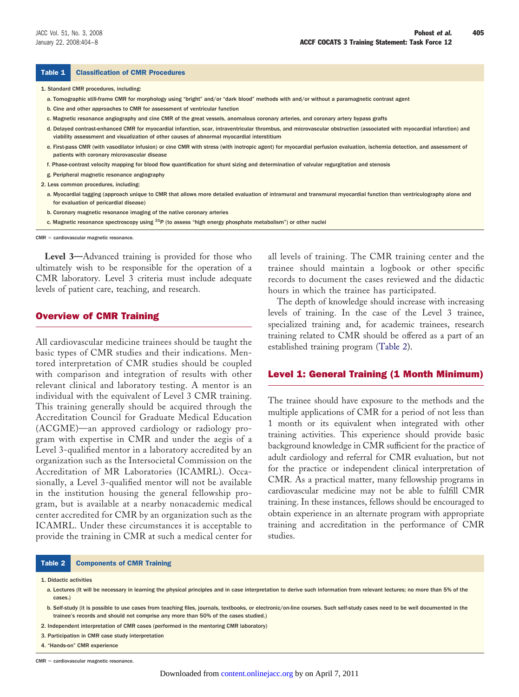#### <span id="page-2-0"></span>Table 1 Classification of CMR Procedures

1. Standard CMR procedures, including:

- a. Tomographic still-frame CMR for morphology using "bright" and/or "dark blood" methods with and/or without a paramagnetic contrast agent
- b. Cine and other approaches to CMR for assessment of ventricular function
- c. Magnetic resonance angiography and cine CMR of the great vessels, anomalous coronary arteries, and coronary artery bypass grafts
- d. Delayed contrast-enhanced CMR for myocardial infarction, scar, intraventricular thrombus, and microvascular obstruction (associated with myocardial infarction) and viability assessment and visualization of other causes of abnormal myocardial interstitium
- e. First-pass CMR (with vasodilator infusion) or cine CMR with stress (with inotropic agent) for myocardial perfusion evaluation, ischemia detection, and assessment of patients with coronary microvascular disease
- f. Phase-contrast velocity mapping for blood flow quantification for shunt sizing and determination of valvular regurgitation and stenosis
- g. Peripheral magnetic resonance angiography
- 2. Less common procedures, including:
	- a. Myocardial tagging (approach unique to CMR that allows more detailed evaluation of intramural and transmural myocardial function than ventriculography alone and for evaluation of pericardial disease)
	- b. Coronary magnetic resonance imaging of the native coronary arteries
	- c. Magnetic resonance spectroscopy using <sup>31</sup>P (to assess "high energy phosphate metabolism") or other nuclei

 $CMR =$  cardiovascular magnetic resonance.

**Level 3—**Advanced training is provided for those who ultimately wish to be responsible for the operation of a CMR laboratory. Level 3 criteria must include adequate levels of patient care, teaching, and research.

#### Overview of CMR Training

All cardiovascular medicine trainees should be taught the basic types of CMR studies and their indications. Mentored interpretation of CMR studies should be coupled with comparison and integration of results with other relevant clinical and laboratory testing. A mentor is an individual with the equivalent of Level 3 CMR training. This training generally should be acquired through the Accreditation Council for Graduate Medical Education (ACGME)—an approved cardiology or radiology program with expertise in CMR and under the aegis of a Level 3-qualified mentor in a laboratory accredited by an organization such as the Intersocietal Commission on the Accreditation of MR Laboratories (ICAMRL). Occasionally, a Level 3-qualified mentor will not be available in the institution housing the general fellowship program, but is available at a nearby nonacademic medical center accredited for CMR by an organization such as the ICAMRL. Under these circumstances it is acceptable to provide the training in CMR at such a medical center for

#### Table 2 Components of CMR Training

1. Didactic activities

a. Lectures (It will be necessary in learning the physical principles and in case interpretation to derive such information from relevant lectures; no more than 5% of the cases.)

2. Independent interpretation of CMR cases (performed in the mentoring CMR laboratory)

3. Participation in CMR case study interpretation

4. "Hands-on" CMR experience

 $CMR =$  cardiovascular magnetic resonance.

all levels of training. The CMR training center and the trainee should maintain a logbook or other specific records to document the cases reviewed and the didactic hours in which the trainee has participated.

The depth of knowledge should increase with increasing levels of training. In the case of the Level 3 trainee, specialized training and, for academic trainees, research training related to CMR should be offered as a part of an established training program (Table 2).

#### Level 1: General Training (1 Month Minimum)

The trainee should have exposure to the methods and the multiple applications of CMR for a period of not less than 1 month or its equivalent when integrated with other training activities. This experience should provide basic background knowledge in CMR sufficient for the practice of adult cardiology and referral for CMR evaluation, but not for the practice or independent clinical interpretation of CMR. As a practical matter, many fellowship programs in cardiovascular medicine may not be able to fulfill CMR training. In these instances, fellows should be encouraged to obtain experience in an alternate program with appropriate training and accreditation in the performance of CMR studies.

b. Self-study (it is possible to use cases from teaching files, journals, textbooks, or electronic/on-line courses. Such self-study cases need to be well documented in the trainee's records and should not comprise any more than 50% of the cases studied.)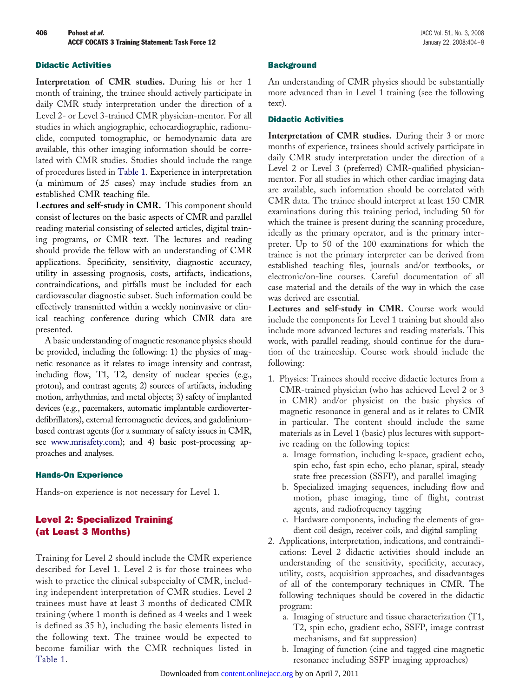#### Didactic Activities

**Interpretation of CMR studies.** During his or her 1 month of training, the trainee should actively participate in daily CMR study interpretation under the direction of a Level 2- or Level 3-trained CMR physician-mentor. For all studies in which angiographic, echocardiographic, radionuclide, computed tomographic, or hemodynamic data are available, this other imaging information should be correlated with CMR studies. Studies should include the range of procedures listed in [Table 1.](#page-2-0) Experience in interpretation (a minimum of 25 cases) may include studies from an established CMR teaching file.

**Lectures and self-study in CMR.** This component should consist of lectures on the basic aspects of CMR and parallel reading material consisting of selected articles, digital training programs, or CMR text. The lectures and reading should provide the fellow with an understanding of CMR applications. Specificity, sensitivity, diagnostic accuracy, utility in assessing prognosis, costs, artifacts, indications, contraindications, and pitfalls must be included for each cardiovascular diagnostic subset. Such information could be effectively transmitted within a weekly noninvasive or clinical teaching conference during which CMR data are presented.

A basic understanding of magnetic resonance physics should be provided, including the following: 1) the physics of magnetic resonance as it relates to image intensity and contrast, including flow, T1, T2, density of nuclear species (e.g., proton), and contrast agents; 2) sources of artifacts, including motion, arrhythmias, and metal objects; 3) safety of implanted devices (e.g., pacemakers, automatic implantable cardioverterdefibrillators), external ferromagnetic devices, and gadoliniumbased contrast agents (for a summary of safety issues in CMR, see [www.mrisafety.com\)](http://www.mrisafety.com); and 4) basic post-processing approaches and analyses.

#### Hands-On Experience

Hands-on experience is not necessary for Level 1.

## Level 2: Specialized Training (at Least 3 Months)

Training for Level 2 should include the CMR experience described for Level 1. Level 2 is for those trainees who wish to practice the clinical subspecialty of CMR, including independent interpretation of CMR studies. Level 2 trainees must have at least 3 months of dedicated CMR training (where 1 month is defined as 4 weeks and 1 week is defined as 35 h), including the basic elements listed in the following text. The trainee would be expected to become familiar with the CMR techniques listed in [Table 1.](#page-2-0)

#### **Background**

An understanding of CMR physics should be substantially more advanced than in Level 1 training (see the following text).

### Didactic Activities

**Interpretation of CMR studies.** During their 3 or more months of experience, trainees should actively participate in daily CMR study interpretation under the direction of a Level 2 or Level 3 (preferred) CMR-qualified physicianmentor. For all studies in which other cardiac imaging data are available, such information should be correlated with CMR data. The trainee should interpret at least 150 CMR examinations during this training period, including 50 for which the trainee is present during the scanning procedure, ideally as the primary operator, and is the primary interpreter. Up to 50 of the 100 examinations for which the trainee is not the primary interpreter can be derived from established teaching files, journals and/or textbooks, or electronic/on-line courses. Careful documentation of all case material and the details of the way in which the case was derived are essential.

**Lectures and self-study in CMR.** Course work would include the components for Level 1 training but should also include more advanced lectures and reading materials. This work, with parallel reading, should continue for the duration of the traineeship. Course work should include the following:

- 1. Physics: Trainees should receive didactic lectures from a CMR-trained physician (who has achieved Level 2 or 3 in CMR) and/or physicist on the basic physics of magnetic resonance in general and as it relates to CMR in particular. The content should include the same materials as in Level 1 (basic) plus lectures with supportive reading on the following topics:
	- a. Image formation, including k-space, gradient echo, spin echo, fast spin echo, echo planar, spiral, steady state free precession (SSFP), and parallel imaging
	- b. Specialized imaging sequences, including flow and motion, phase imaging, time of flight, contrast agents, and radiofrequency tagging
	- c. Hardware components, including the elements of gradient coil design, receiver coils, and digital sampling
- 2. Applications, interpretation, indications, and contraindications: Level 2 didactic activities should include an understanding of the sensitivity, specificity, accuracy, utility, costs, acquisition approaches, and disadvantages of all of the contemporary techniques in CMR. The following techniques should be covered in the didactic program:
	- a. Imaging of structure and tissue characterization (T1, T2, spin echo, gradient echo, SSFP, image contrast mechanisms, and fat suppression)
	- b. Imaging of function (cine and tagged cine magnetic resonance including SSFP imaging approaches)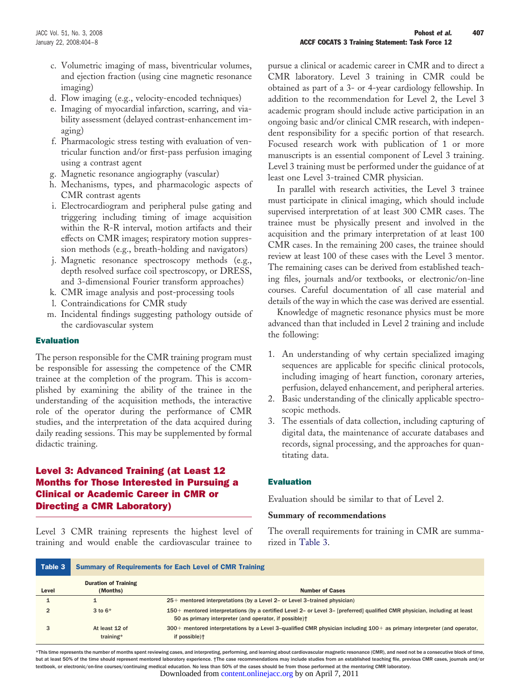- c. Volumetric imaging of mass, biventricular volumes, and ejection fraction (using cine magnetic resonance imaging)
- d. Flow imaging (e.g., velocity-encoded techniques)
- e. Imaging of myocardial infarction, scarring, and viability assessment (delayed contrast-enhancement imaging)
- f. Pharmacologic stress testing with evaluation of ventricular function and/or first-pass perfusion imaging using a contrast agent
- g. Magnetic resonance angiography (vascular)
- h. Mechanisms, types, and pharmacologic aspects of CMR contrast agents
- i. Electrocardiogram and peripheral pulse gating and triggering including timing of image acquisition within the R-R interval, motion artifacts and their effects on CMR images; respiratory motion suppression methods (e.g., breath-holding and navigators)
- j. Magnetic resonance spectroscopy methods (e.g., depth resolved surface coil spectroscopy, or DRESS, and 3-dimensional Fourier transform approaches)
- k. CMR image analysis and post-processing tools
- l. Contraindications for CMR study
- m. Incidental findings suggesting pathology outside of the cardiovascular system

#### Evaluation

The person responsible for the CMR training program must be responsible for assessing the competence of the CMR trainee at the completion of the program. This is accomplished by examining the ability of the trainee in the understanding of the acquisition methods, the interactive role of the operator during the performance of CMR studies, and the interpretation of the data acquired during daily reading sessions. This may be supplemented by formal didactic training.

## Level 3: Advanced Training (at Least 12 Months for Those Interested in Pursuing a Clinical or Academic Career in CMR or Directing a CMR Laboratory)

Level 3 CMR training represents the highest level of training and would enable the cardiovascular trainee to

pursue a clinical or academic career in CMR and to direct a CMR laboratory. Level 3 training in CMR could be obtained as part of a 3- or 4-year cardiology fellowship. In addition to the recommendation for Level 2, the Level 3 academic program should include active participation in an ongoing basic and/or clinical CMR research, with independent responsibility for a specific portion of that research. Focused research work with publication of 1 or more manuscripts is an essential component of Level 3 training. Level 3 training must be performed under the guidance of at least one Level 3-trained CMR physician.

In parallel with research activities, the Level 3 trainee must participate in clinical imaging, which should include supervised interpretation of at least 300 CMR cases. The trainee must be physically present and involved in the acquisition and the primary interpretation of at least 100 CMR cases. In the remaining 200 cases, the trainee should review at least 100 of these cases with the Level 3 mentor. The remaining cases can be derived from established teaching files, journals and/or textbooks, or electronic/on-line courses. Careful documentation of all case material and details of the way in which the case was derived are essential.

Knowledge of magnetic resonance physics must be more advanced than that included in Level 2 training and include the following:

- 1. An understanding of why certain specialized imaging sequences are applicable for specific clinical protocols, including imaging of heart function, coronary arteries, perfusion, delayed enhancement, and peripheral arteries.
- 2. Basic understanding of the clinically applicable spectroscopic methods.
- 3. The essentials of data collection, including capturing of digital data, the maintenance of accurate databases and records, signal processing, and the approaches for quantitating data.

#### Evaluation

Evaluation should be similar to that of Level 2.

#### **Summary of recommendations**

The overall requirements for training in CMR are summarized in Table 3.

| Table 3 | <b>Summary of Requirements for Each Level of CMR Training</b> |                                                                                                                                                                                                  |  |  |  |
|---------|---------------------------------------------------------------|--------------------------------------------------------------------------------------------------------------------------------------------------------------------------------------------------|--|--|--|
| Level   | <b>Duration of Training</b><br>(Months)                       | <b>Number of Cases</b>                                                                                                                                                                           |  |  |  |
|         |                                                               | $25+$ mentored interpretations (by a Level 2- or Level 3-trained physician)                                                                                                                      |  |  |  |
|         | 3 to $6*$                                                     | 150+ mentored interpretations (by a certified Level 2- or Level 3- [preferred] qualified CMR physician, including at least<br>50 as primary interpreter (and operator, if possible) <sup>†</sup> |  |  |  |
|         | At least 12 of<br>training*                                   | $300+$ mentored interpretations by a Level 3-qualified CMR physician including $100+$ as primary interpreter (and operator,<br>if possible) <sup>+</sup>                                         |  |  |  |

\*This time represents the number of months spent reviewing cases, and interpreting, performing, and learning about cardiovascular magnetic resonance (CMR), and need not be a consecutive block of time, but at least 50% of the time should represent mentored laboratory experience. †The case recommendations may include studies from an established teaching file, previous CMR cases, journals and/or textbook, or electronic/on-line courses/continuing medical education. No less than 50% of the cases should be from those performed at the mentoring CMR laboratory. Downloaded from [content.onlinejacc.org](http://content.onlinejacc.org) by on April 7, 2011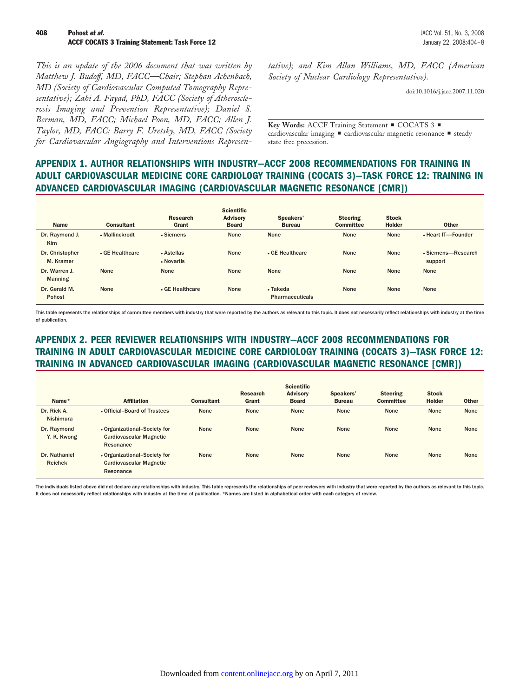*This is an update of the 2006 document that was written by Matthew J. Budoff, MD, FACC—Chair; Stephan Achenbach, MD (Society of Cardiovascular Computed Tomography Representative); Zahi A. Fayad, PhD, FACC (Society of Atherosclerosis Imaging and Prevention Representative); Daniel S. Berman, MD, FACC; Michael Poon, MD, FACC; Allen J. Taylor, MD, FACC; Barry F. Uretsky, MD, FACC (Society for Cardiovascular Angiography and Interventions Represen-* *tative); and Kim Allan Williams, MD, FACC (American Society of Nuclear Cardiology Representative).*

doi:10.1016/j.jacc.2007.11.020

Key Words: ACCF Training Statement COCATS 3 cardiovascular imaging  $\blacksquare$  cardiovascular magnetic resonance  $\blacksquare$  steady state free precession.

## **APPENDIX 1. AUTHOR RELATIONSHIPS WITH INDUSTRY—ACCF 2008 RECOMMENDATIONS FOR TRAINING IN ADULT CARDIOVASCULAR MEDICINE CORE CARDIOLOGY TRAINING (COCATS 3)—TASK FORCE 12: TRAINING IN ADVANCED CARDIOVASCULAR IMAGING (CARDIOVASCULAR MAGNETIC RESONANCE [CMR])**

| <b>Name</b>                     | <b>Consultant</b> | Research<br>Grant        | <b>Scientific</b><br><b>Advisory</b><br><b>Board</b> | Speakers'<br><b>Bureau</b>                 | <b>Steering</b><br><b>Committee</b> | <b>Stock</b><br><b>Holder</b> | <b>Other</b>                  |
|---------------------------------|-------------------|--------------------------|------------------------------------------------------|--------------------------------------------|-------------------------------------|-------------------------------|-------------------------------|
| Dr. Raymond J.<br>Kim           | • Mallinckrodt    | • Siemens                | None                                                 | None                                       | None                                | None                          | • Heart IT-Founder            |
| Dr. Christopher<br>M. Kramer    | • GE Healthcare   | • Astellas<br>• Novartis | None                                                 | • GE Healthcare                            | None                                | None                          | • Siemens-Research<br>support |
| Dr. Warren J.<br><b>Manning</b> | None              | None                     | None                                                 | None                                       | None                                | None                          | None                          |
| Dr. Gerald M.<br>Pohost         | None              | . GE Healthcare          | None                                                 | $\bullet$ Takeda<br><b>Pharmaceuticals</b> | None                                | None                          | None                          |

This table represents the relationships of committee members with industry that were reported by the authors as relevant to this topic. It does not necessarily reflect relationships with industry at the time of publication.

# **APPENDIX 2. PEER REVIEWER RELATIONSHIPS WITH INDUSTRY—ACCF 2008 RECOMMENDATIONS FOR TRAINING IN ADULT CARDIOVASCULAR MEDICINE CORE CARDIOLOGY TRAINING (COCATS 3)—TASK FORCE 12: TRAINING IN ADVANCED CARDIOVASCULAR IMAGING (CARDIOVASCULAR MAGNETIC RESONANCE [CMR])**

| Name*<br>Dr. Rick A.                    | <b>Affiliation</b><br>. Official-Board of Trustees                          | <b>Consultant</b><br>None | <b>Research</b><br>Grant<br>None | <b>Scientific</b><br><b>Advisory</b><br><b>Board</b><br>None | Speakers'<br><b>Bureau</b><br>None | <b>Steering</b><br><b>Committee</b><br>None | <b>Stock</b><br><b>Holder</b><br>None | <b>Other</b><br>None |
|-----------------------------------------|-----------------------------------------------------------------------------|---------------------------|----------------------------------|--------------------------------------------------------------|------------------------------------|---------------------------------------------|---------------------------------------|----------------------|
| Nishimura<br>Dr. Raymond<br>Y. K. Kwong | • Organizational-Society for<br><b>Cardiovascular Magnetic</b><br>Resonance | None                      | None                             | None                                                         | None                               | None                                        | None                                  | None                 |
| Dr. Nathaniel<br><b>Reichek</b>         | • Organizational-Society for<br><b>Cardiovascular Magnetic</b><br>Resonance | None                      | None                             | None                                                         | None                               | None                                        | None                                  | None                 |

The individuals listed above did not declare any relationships with industry. This table represents the relationships of peer reviewers with industry that were reported by the authors as relevant to this topic. It does not necessarily reflect relationships with industry at the time of publication. \*Names are listed in alphabetical order with each category of review.